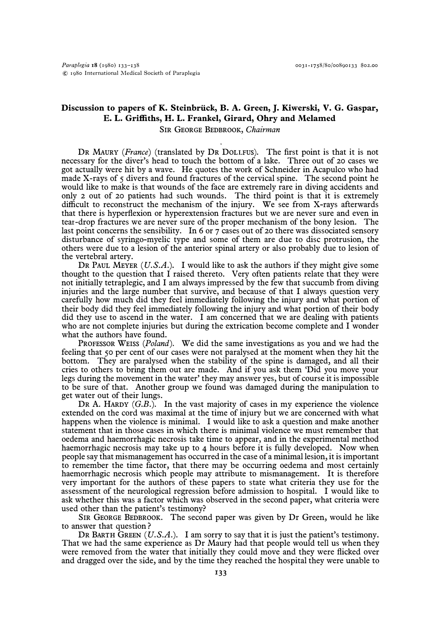# Discussion to papers of K. Steinbriick, B. A. Green, J. Kiwerski, V. G. Gaspar, E. L. Griffiths, H. L. Frankel, Girard, Ohry and Melamed

SIR GEORGE BEDBROOK, Chairman

DR MAURY (France) (translated by DR DOLLFUS). The first point is that it is not necessary for the diver's head to touch the bottom of a lake. Three out of 20 cases we got actually were hit by a wave. He quotes the work of Schneider in Acapulco who had made X-rays of 5 divers and found fractures of the cervical spine. The second point he would like to make is that wounds of the face are extremely rare in diving accidents and only 2 out of 20 patients had such wounds. The third point is that it is extremely difficult to reconstruct the mechanism of the injury. We see from X-rays afterwards that there is hyperflexion or hyperextension fractures but we are never sure and even in tear-drop fractures we are never sure of the proper mechanism of the bony lesion. The last point concerns the sensibility. In 6 or 7 cases out of 20 there was dissociated sensory distürbance of syringo-myelic type and some of them are due to disc protrusion, the others were due to a lesion of the anterior spinal artery or also probably due to lesion of the vertebral artery.

DR PAUL MEYER  $(U.S.A.)$ . I would like to ask the authors if they might give some thought to the question that  $\tilde{\mathbf{I}}$  raised thereto. Very often patients relate that they were not initially tetraplegic, and I am always impressed by the few that succumb from diving injuries and the large number that survive, and because of that I always question very carefully how much did they feel immediately following the injury and what portion of their body did they feel immediately following the injury and what portion of their body did they use to ascend in the water. I am concerned that we are dealing with patients who are not complete injuries but during the extrication become complete and I wonder what the authors have found.

PROFESSOR WEISS (Poland). We did the same investigations as you and we had the feeling that 50 per cent of our cases were not paralysed at the moment when they hit the bottom. They are paralysed when the stability of the spine is damaged, and all their cries to others to bring them out are made. And if you ask them 'Did you move your legs during the movement in the water' they may answer yes, but of course it is impossible to be sure of that. Another group we found was damaged during the manipulation to get water out of their lungs.

DR  $\Lambda$ . HARDY  $(G.B.)$ . In the vast majority of cases in my experience the violence extended on the cord was maximal at the time of injury but we are concerned with what happens when the violence is minimal. I would like to ask a question and make another statement that in those cases in which there is minimal violence we must remember that oedema and haemorrhagic necrosis take time to appear, and in the experimental method haemorrhagic necrosis may take up to 4 hours before it is fully developed. Now when people say that mismanagement has occurred in the case of a minimal lesion, it is important to remember the time factor, that there may be occurring oedema and most certainly haemorrhagic necrosis which people may attribute to mismanagement. It is therefore very important for the authors of these papers to state what criteria they use for the assessment of the neurological regression before admission to hospital. I would like to ask whether this was a factor which was observed in the second paper, what criteria were used other than the patient's testimony?

SIR GEORGE BEDBROOK. The second paper was given by Dr Green, would he like to answer that question?

DR BARTH GREEN  $(U.S.A.)$ . I am sorry to say that it is just the patient's testimony. That we had the same experience as Dr Maury had that people would tell us when they were removed from the water that initially they could move and they were flicked over and dragged over the side, and by the time they reached the hospital they were unable to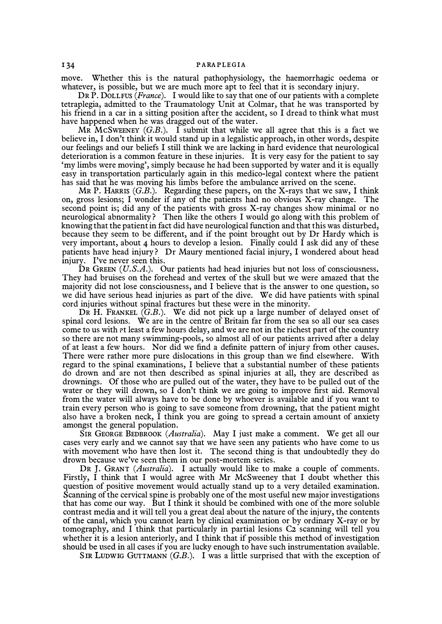## 134 **PARAPLEGIA**

move. Whether this is the natural pathophysiology, the haemorrhagic oedema or whatever, is possible, but we are much more apt to feel that it is secondary injury.

DR P. DOLLFUS (France). I would like to say that one of our patients with a complete tetraplegia, admitted to the Traumatology Unit at Colmar, that he was transported by his friend in a car in a sitting position after the accident, so I dread to think what must have happened when he was dragged out of the water.

 $\overline{\text{Mn}}$   $\tilde{\text{M}}$ CSWEENEY (G.B.). I submit that while we all agree that this is a fact we believe in, I don't think it would stand up in a legalistic approach, in other words, despite our feelings and our beliefs I still think we are lacking in hard evidence that neurological deterioration is a common feature in these injuries. It is very easy for the patient to say 'my limbs were moving', simply because he had been supported by water and it is equally easy in transportation particularly again in this medico-legal context where the patient has said that he was moving his limbs before the ambulance arrived on the scene.

 $MR$  P. HARRIS (G.B.). Regarding these papers, on the X-rays that we saw, I think on, gross lesions; I wonder if any of the patients had no obvious X-ray change. The second point is; did any of the patients with gross X-ray changes show minimal or no neurological abnormality? Then like the others I would go along with this problem of knowing that the patient in fact did have neurological function and that this was disturbed, because they seem to be different, and if the point brought out by Dr Hardy which is very important, about 4 hours to develop a lesion. Finally could  $\tilde{\mathbf{I}}$  ask did any of these patients have head injury? Dr Maury mentioned facial injury, I wondered about head injury. I've never seen this.

DR GREEN (U.S.A.). Our patients had head injuries but not loss of consciousness. They had bruises on the forehead and vertex of the skull but we were amazed that the majority did not lose consciousness, and I believe that is the answer to one question, so we did have serious head injuries as part of the dive. We did have patients with spinal cord injuries without spinal fractures but these were in the minority.

DR H. FRANKEL  $(G.B.)$ . We did not pick up a large number of delayed onset of spinal cord lesions. We are in the centre of Britain far from the sea so all our sea cases come to us with at least a few hours delay, and we are not in the richest part of the country so there are not many swimming-pools, so almost all of our patients arrived after a delay of at least a few hours. Nor did we find a definite pattern of injury from other causes. There were rather more pure dislocations in this group than we find elsewhere. With regard to the spinal examinations, I believe that a substantial number of these patients do drown and are not then described as spinal injuries at all, they are described as drownings. Of those who are pulled out of the water, they have to be pulled out of the water or they will drown, so  $\tilde{\mathbf{I}}$  don't think we are going to improve first aid. Removal from the water will always have to be done by whoever is available and if you want to train every person who is going to save someone from drowning, that the patient might also have a broken neck, I think you are going to spread a certain amount of anxiety amongst the general population.

 $\overline{S}$ IR GEORGE BEDBROOK (Australia). May I just make a comment. We get all our cases very early and we cannot say that we have seen any patients who have come to us with movement who have then lost it. The second thing is that undoubtedly they do drown because we've seen them in our post-mortem series.

DR J. GRANT (*Australia*). I actually would like to make a couple of comments. Firstly, I think that I would agree with Mr McSweeney that I doubt whether this question of positive movement would actually stand up to a very detailed examination. Scanning of the cervical spine is probably one of the most useful new major investigations that has come our way. But I think it should be combined with one of the more soluble contrast media and it will tell you a great deal about the nature of the injury, the contents of the canal, which you cannot learn by clinical examination or by ordinary X-ray or by tomography, and I think that particularly in partial lesions  $C<sub>2</sub>$  scanning will tell you whether it is a lesion anteriorly, and I think that if possible this method of investigation should be used in all cases if you are lucky enough to have such instrumentation available.

SIR LUDWIG GUTTMANN  $(G.B.)$ . I was a little surprised that with the exception of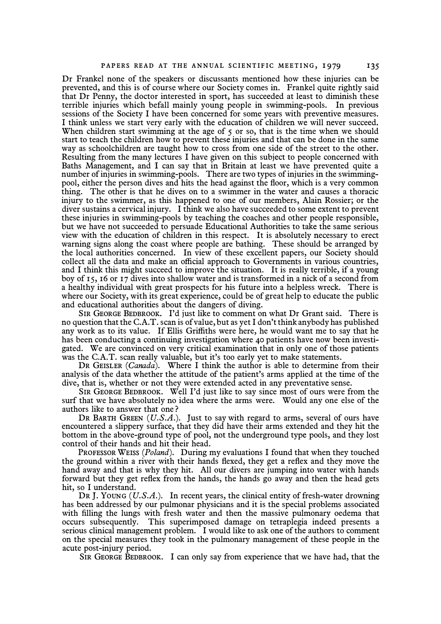Dr Frankel none of the speakers or discussants mentioned how these injuries can be prevented, and this is of course where our Society comes in. Frankel quite rightly said that Dr Penny, the doctor interested in sport, has succeeded at least to diminish these terrible injuries which befall mainly young people in swimming-pools. In previous sessions of the Society I have been concerned for some years with preventive measures. I think unless we start very early with the education of children we will never succeed. When children start swimming at the age of  $\zeta$  or so, that is the time when we should start to teach the children how to prevent these injuries and that can be done in the same way as schoolchildren are taught how to cross from one side of the street to the other. Resulting from the many lectures I have given on this subject to people concerned with Baths Management, and I can say that in Britain at least we have prevented quite a number of injuries in swimming-pools. There are two types of injuries in the swimmingpool, either the person dives and hits the head against the floor, which is a very common thing. The other is that he dives on to a swimmer in the water and causes a thoracic injury to the swimmer, as this happened to one of our members, Alain Rossier; or the diver sustains a cervical injury. I think we also have succeeded to some extent to prevent these injuries in swimming-pools by teaching the coaches and other people responsible, but we have not succeeded to persuade Educational Authorities to take the same serious view with the education of children in this respect. It is absolutely necessary to erect warning signs along the coast where people are bathing. These should be arranged by the local authorities concerned. In view of these excellent papers, our Society should collect all the data and make an official approach to Governments in various countries, and I think this might succeed to improve the situation. It is really terrible, if a young boy of 15, 16 or 17 dives into shallow water and is transformed in a nick of a second from a healthy individual with great prospects for his future into a helpless wreck. There is where our Society, with its great experience, could be of great help to educate the public and educational authorities about the dangers of diving.

SIR GEORGE BEDBROOK. I'd just like to comment on what Dr Grant said. There is no question that the C.A.T. scan is of value, but as yet I don't think any body has published any work as to its value. If Ellis Griffiths were here, he would want me to say that he has been conducting a continuing investigation where 40 patients have now been investigated. We are convinced on very critical examination that in only one of those patients was the C.A.T. scan really valuable, but it's too early yet to make statements.

DR GEISLER (Canada). Where I think the author is able to determine from their analysis of the data whether the attitude of the patient's arms applied at the time of the dive, that is, whether or not they were extended acted in any preventative sense.

SIR GEORGE BEDBROOK. Well I'd just like to say since most of ours were from the surf that we have absolutely no idea where the arms were. Would any one else of the authors like to answer that one?

DR BARTH GREEN  $(U.S.A.)$ . Just to say with regard to arms, several of ours have encountered a slippery surface, that they did have their arms extended and they hit the bottom in the above-ground type of pool, not the underground type pools, and they lost control of their hands and hit their head.

PROFESSOR WEISS (Poland). During my evaluations I found that when they touched the ground within a river with their hands flexed, they get a reflex and they move the hand away and that is why they hit. All our divers are jumping into water with hands forward but they get reflex from the hands, the hands go away and then the head gets hit, so I understand.

DR J. YOUNG (U.S.A.). In recent years, the clinical entity of fresh-water drowning has been addressed by our pulmonar physicians and it is the special problems associated with filling the lungs with fresh water and then the massive pulmonary oedema that occurs subsequently. This superimposed damage on tetraplegia indeed presents a serious clinical management problem. I would like to ask one of the authors to comment on the special measures they took in the pulmonary management of these people in the acute post-injury period.

SIR GEORGE BEDBROOK. I can only say from experience that we have had, that the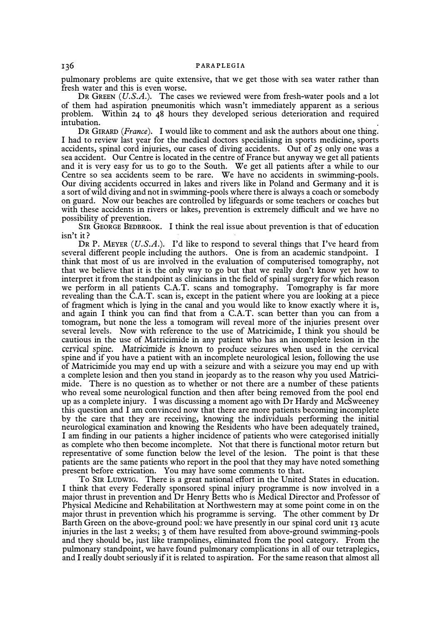#### PARAPLEGIA

pulmonary problems are quite extensive, that we get those with sea water rather than fresh water and this is even worse.

DR GREEN (U.S.A.). The cases we reviewed were from fresh-water pools and a lot of them had aspiration pneumonitis which wasn't immediately apparent as a serious problem. Within 24 to 48 hours they developed serious deterioration and required intubation.

DR GIRARD (France). I would like to comment and ask the authors about one thing. I had to review last year for the medical doctors specialising in sports medicine, sports accidents, spinal cord injuries, our cases of diving accidents. Out of  $25$  only one was a sea accident. Our Centre is located in the centre of France but anyway we get all patients and it is very easy for us to go to the South. We get all patients after a while to our Centre so sea accidents seem to be rare. We have no accidents in swimming-pools. Our diving accidents occurred in lakes and rivers like in Poland and Germany and it is a sort of wild diving and not in swimming-pools where there is always a coach or somebody on guard. Now our beaches are controlled by lifeguards or some teachers or coaches but with these accidents in rivers or lakes, prevention is extremely difficult and we have no possibility of prevention.

SIR GEORGE BEDBROOK. I think the real issue about prevention is that of education isn't it?

DR P. MEYER  $(U.S.A.)$ . I'd like to respond to several things that I've heard from several different people including the authors. One is from an academic standpoint. I think that most of us are involved in the evaluation of computerised tomography, not that we believe that it is the only way to go but that we really don't know yet how to interpret it from the standpoint as clinicians in the field of spinal surgery for which reason we perform in all patients C.A.T. scans and tomography. Tomography is far more revealing than the Č.A.T. scan is, except in the patient where you are looking at a piece of fragment which is lying in the canal and you would like to know exactly where it is, and again I think you can find that from a C.A.T. scan better than you can from a tomogram, but none the less a tomogram will reveal more of the injuries present over several levels. Now with reference to the use of Matricimide, I think you should be cautious in the use of Matricimide in any patient who has an incomplete lesion in the cervical spine. Matricimide is known to produce seizures when used in the cervical spine and if you have a patient with an incomplete neurological lesion, following the use of Matricimide you may end up with a seizure and with a seizure you may end up with a complete lesion and then you stand in jeopardy as to the reason why you used Matricimide. There is no question as to whether or not there are a number of these patients who reveal some neurological function and then after being removed from the pool end up as a complete injury. I was discussing a moment ago with Dr Hardy and McSweeney this question and I am convinced now that there are more patients becoming incomplete by the care that they are receiving, knowing the individuals performing the initial neurological examination and knowing the Residents who have been adequately trained, I am finding in our patients a higher incidence of patients who were categorised initially as complete who then become incomplete. Not that there is functional motor return but representative of some function below the level of the lesion. The point is that these patients are the same patients who report in the pool that they may have noted something present before extrication. You may have some comments to that.

To SIR LUDWIG. There is a great national effort in the United States in education. I think that every Federally sponsored spinal injury programme is now involved in a major thrust in prevention and Dr Henry Betts who is Medical Director and Professor of Physical Medicine and Rehabilitation at Northwestern may at some point come in on the major thrust in prevention which his programme is serving. The other comment by Dr Barth Green on the above-ground pool: we have presently in our spinal cord unit 13 acute injuries in the last 2 weeks; 3 of them have resulted from above-ground swimming-pools and they should be, just like trampolines, eliminated from the pool category. From the pulmonary standpoint, we have found pulmonary complications in all of our tetraplegics, and I really doubt seriously if it is related to aspiration. For the same reason that almost all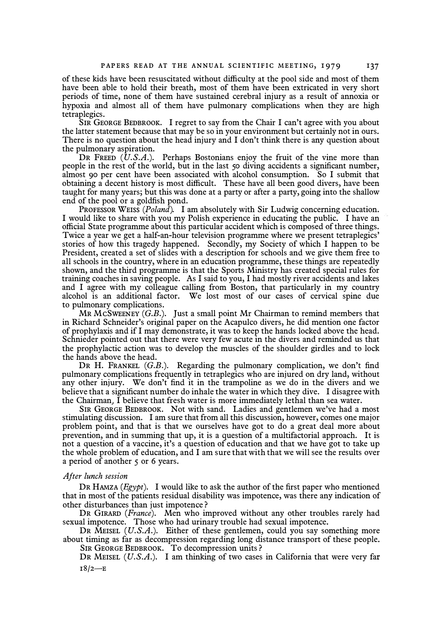of these kids have been resuscitated without difficulty at the pool side and most of them have been able to hold their breath, most of them have been extricated in very short periods of time, none of them have sustained cerebral injury as a result of annoxia or hypoxia and almost all of them have pulmonary complications when they are high tetraplegics.

 $\overline{S}$ IR GEORGE BEDBROOK. I regret to say from the Chair I can't agree with you about the latter statement because that may be so in your environment but certainly not in ours. There is no question about the head injury and I don't think there is any question about the pulmonary aspiration.

DR FREED ( $\overline{U}.S.A.$ ). Perhaps Bostonians enjoy the fruit of the vine more than people in the rest of the world, but in the last so diving accidents a significant number, almost go per cent have been associated with alcohol consumption. So I submit that obtaining a decent history is most difficult. These have all been good divers, have been taught for many years; but this was done at a party or after a party, going into the shallow end of the pool or a goldfish pond.

PROFESSOR WEISS (*Poland*). I am absolutely with Sir Ludwig concerning education. I would like to share with you my Polish experience in educating the public. I have an official State programme about this particular accident which is composed of three things. Twice a year we get a half-an-hour television programme where we present tetraplegics' stories of how this tragedy happened. Secondly, my Society of which I happen to be President, created a set of slides with a description for schools and we give them free to all schools in the country, where in an education programme, these things are repeatedly shown, and the third programme is that the Sports Ministry has created special rules for training coaches in saving people. As I said to you, I had mostly river accidents and lakes and I agree with my colleague calling from Boston, that particularly in my country alcohol is an additional factor. We lost most of our cases of cervical spine due to pulmonary complications.

MR MCSWEENEY  $(G,B)$ . Just a small point Mr Chairman to remind members that in Richard Schneider's original paper on the Acapulco divers, he did mention one factor of prophylaxis and if I may demonstrate, it was to keep the hands locked above the head. Schnieder pointed out that there were very few acute in the divers and reminded us that the prophylactic action was to develop the muscles of the shoulder girdles and to lock the hands above the head.

DR H. FRANKEL  $(G.B.)$ . Regarding the pulmonary complication, we don't find pulmonary complications frequently in tetraplegics who are injured on dry land, without any other injury. We don't find it in the trampoline as we do in the divers and we believe that a significant number do inhale the water in which they dive. I disagree with the Chairman, I believe that fresh water is more immediately lethal than sea water.

SIR GEORGE BEDBROOK. Not with sand. Ladies and gentlemen we've had a most stimulating discussion. I am sure that from all this discussion, however, comes one major problem point, and that is that we ourselves have got to do a great deal more about prevention, and in summing that up, it is a question of a multifactorial approach. It is not a question of a vaccine, it's a question of education and that we have got to take up the whole problem of education, and I am sure that with that we will see the results over a period of another  $\zeta$  or 6 years.

### After lunch session

DR HAMZA (Egypt). I would like to ask the author of the first paper who mentioned that in most of the patients residual disability was impotence, was there any indication of other disturbances than just impotence?

DR GIRARD (France). Men who improved without any other troubles rarely had sexual impotence. Those who had urinary trouble had sexual impotence.

DR MEISEL (U.S.A.). Either of these gentlemen, could you say something more about timing as far as decompression regarding long distance transport of these people. SIR GEORGE BEDBROOK. To decompression units?

Dr MeIseL  $(U.S.A.)$ . I am thinking of two cases in California that were very far  $18/2 - E$